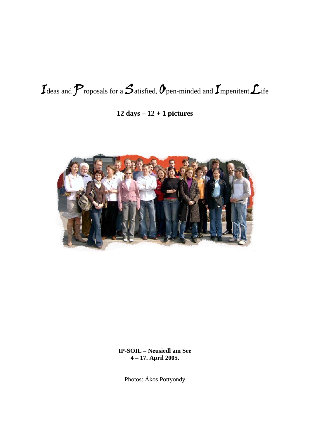# $\mathcal{I}$  deas and  $\mathcal{P}$  roposals for a  $\mathcal{S}$  atisfied,  $\mathcal{O}$  pen-minded and  $\mathcal{I}$  mpenitent  $\mathcal{L}$  ife

### 12 days  $-12 + 1$  pictures



**IP-SOIL - Neusiedl am See** 4-17. April 2005.

Photos: Ákos Pottyondy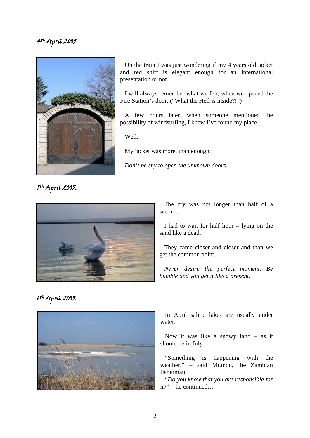

On the train I was just wondering if my 4 years old jacket and red shirt is elegant enough for an international presentation or not.

I will always remember what we felt, when we opened the Fire Station's door. ("What the Hell is inside?!")

A few hours later, when someone mentioned the possibility of windsurfing, I knew I've found my place.

Well.

My jacket was more, than enough.

*Don't be shy to open the unknown doors.*

5th April 2005.



The cry was not longer than half of a second.

I had to wait for half hour – lying on the sand like a dead.

They came closer and closer and than we get the common point.

*Never desire the perfect moment. Be humble and you get it like a present.* 

6th April 2005.



In April saline lakes are usually under water.

Now it was like a snowy land – as it should be in July…

"Something is happening with the weather." – said Mtundu, the Zambian fisherman.

"*Do you know that you are responsible for it*?" – he continued…

2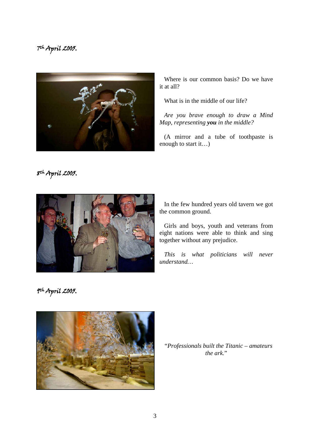

Where is our common basis? Do we have it at all?

What is in the middle of our life?

*Are you brave enough to draw a Mind Map, representing you in the middle?* 

(A mirror and a tube of toothpaste is enough to start it…)

8th April 2005.



In the few hundred years old tavern we got the common ground.

Girls and boys, youth and veterans from eight nations were able to think and sing together without any prejudice.

*This is what politicians will never understand…* 

9th April 2005.



"*Professionals built the Titanic – amateurs the ark.*"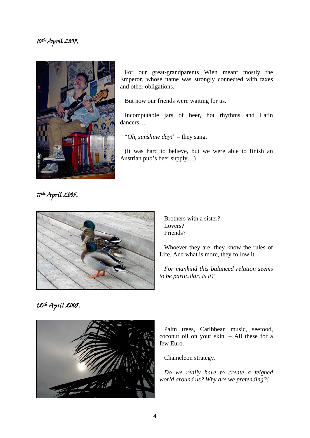

For our great-grandparents Wien meant mostly the Emperor, whose name was strongly connected with taxes and other obligations.

But now our friends were waiting for us.

Incomputable jars of beer, hot rhythms and Latin dancers…

"*Oh, sunshine day!*" – they sang.

(It was hard to believe, but we were able to finish an Austrian pub's beer supply…)

11th April 2005.



Brothers with a sister? Lovers? Friends?

Whoever they are, they know the rules of Life. And what is more, they follow it.

*For mankind this balanced relation seems to be particular. Is it?* 

### 12th April 2005.



Palm trees, Caribbean music, seefood, coconut oil on your skin. – All these for a few Euro.

Chameleon strategy.

*Do we really have to create a feigned world around us? Why are we pretending?!*